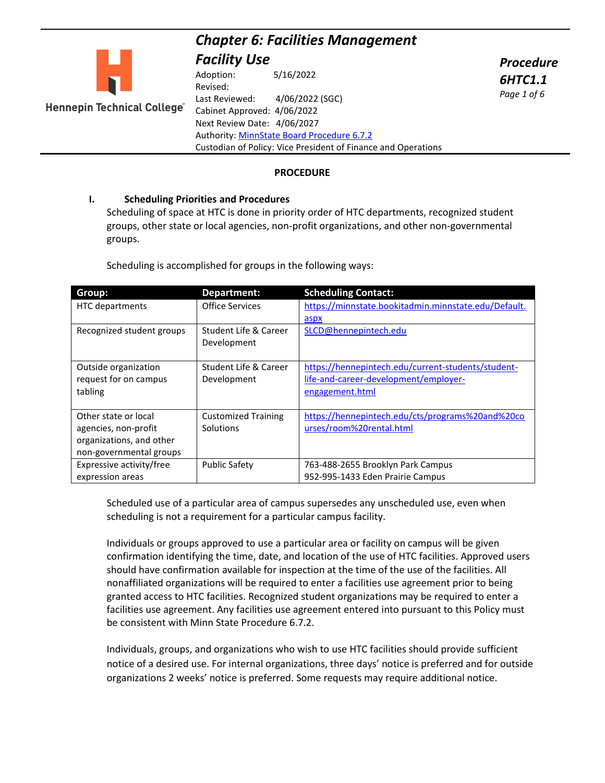# *Chapter 6: Facilities Management*

*Procedure 6HTC1.1 Page 1 of 6*



*Facility Use* Adoption: 5/16/2022 Revised: Last Reviewed: 4/06/2022 (SGC) Hennepin Technical College" Cabinet Approved: 4/06/2022 Next Review Date: 4/06/2027 Authority: [MinnState Board Procedure 6.7.2](https://www.minnstate.edu/board/procedure/607p2.html) Custodian of Policy: Vice President of Finance and Operations

#### **PROCEDURE**

#### **I. Scheduling Priorities and Procedures**

Scheduling of space at HTC is done in priority order of HTC departments, recognized student groups, other state or local agencies, non-profit organizations, and other non-governmental groups.

Scheduling is accomplished for groups in the following ways:

| Group:                    | Department:                | <b>Scheduling Contact:</b>                           |
|---------------------------|----------------------------|------------------------------------------------------|
| <b>HTC</b> departments    | <b>Office Services</b>     | https://minnstate.bookitadmin.minnstate.edu/Default. |
|                           |                            | aspx                                                 |
| Recognized student groups | Student Life & Career      | SLCD@hennepintech.edu                                |
|                           | Development                |                                                      |
|                           |                            |                                                      |
| Outside organization      | Student Life & Career      | https://hennepintech.edu/current-students/student-   |
| request for on campus     | Development                | life-and-career-development/employer-                |
| tabling                   |                            | engagement.html                                      |
|                           |                            |                                                      |
| Other state or local      | <b>Customized Training</b> | https://hennepintech.edu/cts/programs%20and%20co     |
| agencies, non-profit      | <b>Solutions</b>           | urses/room%20rental.html                             |
| organizations, and other  |                            |                                                      |
| non-governmental groups   |                            |                                                      |
| Expressive activity/free  | <b>Public Safety</b>       | 763-488-2655 Brooklyn Park Campus                    |
| expression areas          |                            | 952-995-1433 Eden Prairie Campus                     |

Scheduled use of a particular area of campus supersedes any unscheduled use, even when scheduling is not a requirement for a particular campus facility.

Individuals or groups approved to use a particular area or facility on campus will be given confirmation identifying the time, date, and location of the use of HTC facilities. Approved users should have confirmation available for inspection at the time of the use of the facilities. All nonaffiliated organizations will be required to enter a facilities use agreement prior to being granted access to HTC facilities. Recognized student organizations may be required to enter a facilities use agreement. Any facilities use agreement entered into pursuant to this Policy must be consistent with Minn State Procedure 6.7.2.

Individuals, groups, and organizations who wish to use HTC facilities should provide sufficient notice of a desired use. For internal organizations, three days' notice is preferred and for outside organizations 2 weeks' notice is preferred. Some requests may require additional notice.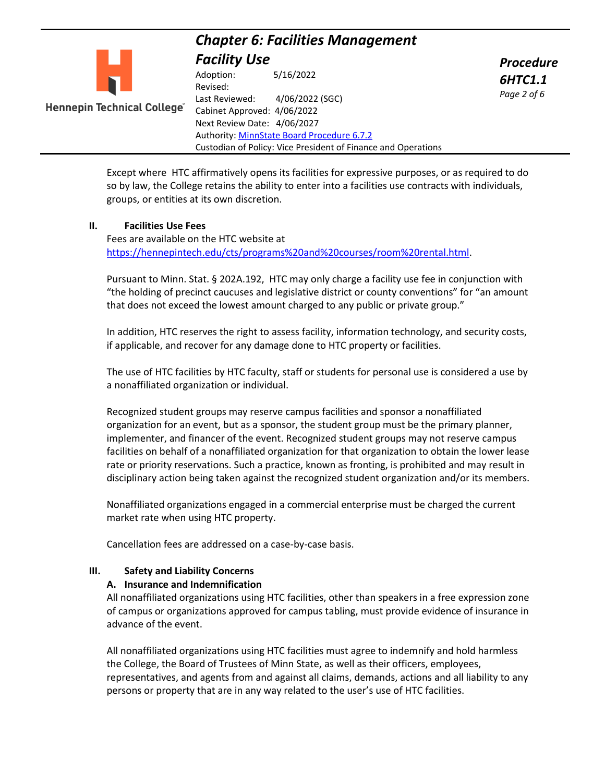

Adoption: 5/16/2022 Revised: Last Reviewed: 4/06/2022 (SGC) **Hennepin Technical College** Cabinet Approved: 4/06/2022 Next Review Date: 4/06/2027 Authority: [MinnState Board Procedure 6.7.2](https://www.minnstate.edu/board/procedure/607p2.html) Custodian of Policy: Vice President of Finance and Operations *Procedure 6HTC1.1 Page 2 of 6*

Except where HTC affirmatively opens its facilities for expressive purposes, or as required to do so by law, the College retains the ability to enter into a facilities use contracts with individuals, groups, or entities at its own discretion.

### **II. Facilities Use Fees**

Fees are available on the HTC website at [https://hennepintech.edu/cts/programs%20and%20courses/room%20rental.html.](https://hennepintech.edu/cts/programs%20and%20courses/room%20rental.html)

Pursuant to Minn. Stat. § 202A.192, HTC may only charge a facility use fee in conjunction with "the holding of precinct caucuses and legislative district or county conventions" for "an amount that does not exceed the lowest amount charged to any public or private group."

In addition, HTC reserves the right to assess facility, information technology, and security costs, if applicable, and recover for any damage done to HTC property or facilities.

The use of HTC facilities by HTC faculty, staff or students for personal use is considered a use by a nonaffiliated organization or individual.

Recognized student groups may reserve campus facilities and sponsor a nonaffiliated organization for an event, but as a sponsor, the student group must be the primary planner, implementer, and financer of the event. Recognized student groups may not reserve campus facilities on behalf of a nonaffiliated organization for that organization to obtain the lower lease rate or priority reservations. Such a practice, known as fronting, is prohibited and may result in disciplinary action being taken against the recognized student organization and/or its members.

Nonaffiliated organizations engaged in a commercial enterprise must be charged the current market rate when using HTC property.

Cancellation fees are addressed on a case-by-case basis.

#### **III. Safety and Liability Concerns**

#### **A. Insurance and Indemnification**

All nonaffiliated organizations using HTC facilities, other than speakers in a free expression zone of campus or organizations approved for campus tabling, must provide evidence of insurance in advance of the event.

All nonaffiliated organizations using HTC facilities must agree to indemnify and hold harmless the College, the Board of Trustees of Minn State, as well as their officers, employees, representatives, and agents from and against all claims, demands, actions and all liability to any persons or property that are in any way related to the user's use of HTC facilities.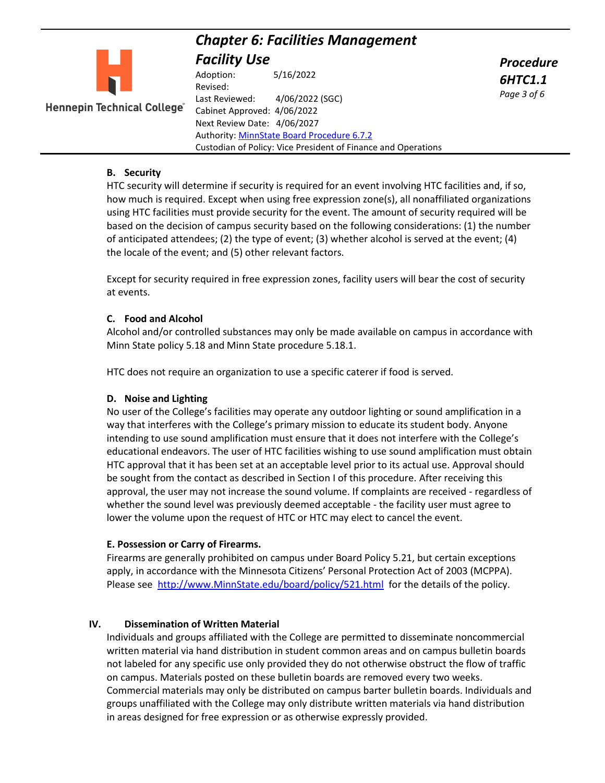

**Hennepin Technical College**"

Adoption: 5/16/2022 Revised: Last Reviewed: 4/06/2022 (SGC) Cabinet Approved: 4/06/2022 Next Review Date: 4/06/2027 Authority: [MinnState Board Procedure 6.7.2](https://www.minnstate.edu/board/procedure/607p2.html) Custodian of Policy: Vice President of Finance and Operations *Procedure 6HTC1.1 Page 3 of 6*

### **B. Security**

HTC security will determine if security is required for an event involving HTC facilities and, if so, how much is required. Except when using free expression zone(s), all nonaffiliated organizations using HTC facilities must provide security for the event. The amount of security required will be based on the decision of campus security based on the following considerations: (1) the number of anticipated attendees; (2) the type of event; (3) whether alcohol is served at the event; (4) the locale of the event; and (5) other relevant factors.

Except for security required in free expression zones, facility users will bear the cost of security at events.

### **C. Food and Alcohol**

Alcohol and/or controlled substances may only be made available on campus in accordance with Minn State policy 5.18 and Minn State procedure 5.18.1.

HTC does not require an organization to use a specific caterer if food is served.

# **D. Noise and Lighting**

No user of the College's facilities may operate any outdoor lighting or sound amplification in a way that interferes with the College's primary mission to educate its student body. Anyone intending to use sound amplification must ensure that it does not interfere with the College's educational endeavors. The user of HTC facilities wishing to use sound amplification must obtain HTC approval that it has been set at an acceptable level prior to its actual use. Approval should be sought from the contact as described in Section I of this procedure. After receiving this approval, the user may not increase the sound volume. If complaints are received - regardless of whether the sound level was previously deemed acceptable - the facility user must agree to lower the volume upon the request of HTC or HTC may elect to cancel the event.

# **E. Possession or Carry of Firearms.**

Firearms are generally prohibited on campus under Board Policy 5.21, but certain exceptions apply, in accordance with the Minnesota Citizens' Personal Protection Act of 2003 (MCPPA). Please see [http://www.MinnState.edu/board/policy/521.html](http://www.minnstate.edu/board/policy/521.html) for the details of the policy.

# **IV. Dissemination of Written Material**

Individuals and groups affiliated with the College are permitted to disseminate noncommercial written material via hand distribution in student common areas and on campus bulletin boards not labeled for any specific use only provided they do not otherwise obstruct the flow of traffic on campus. Materials posted on these bulletin boards are removed every two weeks. Commercial materials may only be distributed on campus barter bulletin boards. Individuals and groups unaffiliated with the College may only distribute written materials via hand distribution in areas designed for free expression or as otherwise expressly provided.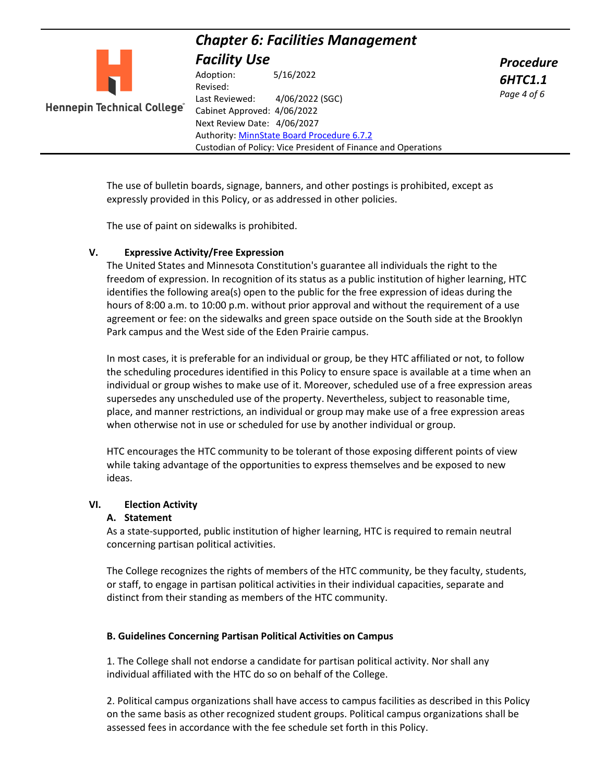| <b>Facility Use</b><br><b>Procedure</b><br>5/16/2022<br>Adoption:<br><b>6HTC1.1</b><br>Revised:<br>Page 4 of 6<br>4/06/2022 (SGC)<br>Last Reviewed: |                             | <b>Chapter 6: Facilities Management</b> |  |  |  |
|-----------------------------------------------------------------------------------------------------------------------------------------------------|-----------------------------|-----------------------------------------|--|--|--|
|                                                                                                                                                     |                             |                                         |  |  |  |
| Next Review Date: 4/06/2027<br>Authority: MinnState Board Procedure 6.7.2<br>Custodian of Policy: Vice President of Finance and Operations          | Hennepin Technical College" | Cabinet Approved: 4/06/2022             |  |  |  |

The use of bulletin boards, signage, banners, and other postings is prohibited, except as expressly provided in this Policy, or as addressed in other policies.

The use of paint on sidewalks is prohibited.

#### **V. Expressive Activity/Free Expression**

The United States and Minnesota Constitution's guarantee all individuals the right to the freedom of expression. In recognition of its status as a public institution of higher learning, HTC identifies the following area(s) open to the public for the free expression of ideas during the hours of 8:00 a.m. to 10:00 p.m. without prior approval and without the requirement of a use agreement or fee: on the sidewalks and green space outside on the South side at the Brooklyn Park campus and the West side of the Eden Prairie campus.

In most cases, it is preferable for an individual or group, be they HTC affiliated or not, to follow the scheduling procedures identified in this Policy to ensure space is available at a time when an individual or group wishes to make use of it. Moreover, scheduled use of a free expression areas supersedes any unscheduled use of the property. Nevertheless, subject to reasonable time, place, and manner restrictions, an individual or group may make use of a free expression areas when otherwise not in use or scheduled for use by another individual or group.

HTC encourages the HTC community to be tolerant of those exposing different points of view while taking advantage of the opportunities to express themselves and be exposed to new ideas.

#### **VI. Election Activity**

#### **A. Statement**

As a state-supported, public institution of higher learning, HTC is required to remain neutral concerning partisan political activities.

The College recognizes the rights of members of the HTC community, be they faculty, students, or staff, to engage in partisan political activities in their individual capacities, separate and distinct from their standing as members of the HTC community.

#### **B. Guidelines Concerning Partisan Political Activities on Campus**

1. The College shall not endorse a candidate for partisan political activity. Nor shall any individual affiliated with the HTC do so on behalf of the College.

2. Political campus organizations shall have access to campus facilities as described in this Policy on the same basis as other recognized student groups. Political campus organizations shall be assessed fees in accordance with the fee schedule set forth in this Policy.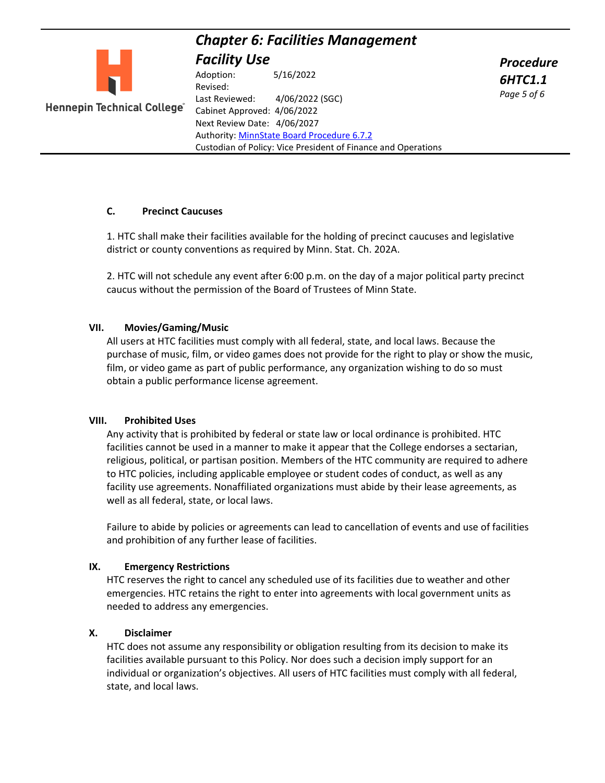*Procedure 6HTC1.1 Page 5 of 6*



Adoption: 5/16/2022 Revised: Last Reviewed: 4/06/2022 (SGC) **Hennepin Technical College** Cabinet Approved: 4/06/2022 Next Review Date: 4/06/2027 Authority: [MinnState Board Procedure 6.7.2](https://www.minnstate.edu/board/procedure/607p2.html) Custodian of Policy: Vice President of Finance and Operations

# **C. Precinct Caucuses**

1. HTC shall make their facilities available for the holding of precinct caucuses and legislative district or county conventions as required by Minn. Stat. Ch. 202A.

2. HTC will not schedule any event after 6:00 p.m. on the day of a major political party precinct caucus without the permission of the Board of Trustees of Minn State.

#### **VII. Movies/Gaming/Music**

All users at HTC facilities must comply with all federal, state, and local laws. Because the purchase of music, film, or video games does not provide for the right to play or show the music, film, or video game as part of public performance, any organization wishing to do so must obtain a public performance license agreement.

#### **VIII. Prohibited Uses**

Any activity that is prohibited by federal or state law or local ordinance is prohibited. HTC facilities cannot be used in a manner to make it appear that the College endorses a sectarian, religious, political, or partisan position. Members of the HTC community are required to adhere to HTC policies, including applicable employee or student codes of conduct, as well as any facility use agreements. Nonaffiliated organizations must abide by their lease agreements, as well as all federal, state, or local laws.

Failure to abide by policies or agreements can lead to cancellation of events and use of facilities and prohibition of any further lease of facilities.

#### **IX. Emergency Restrictions**

HTC reserves the right to cancel any scheduled use of its facilities due to weather and other emergencies. HTC retains the right to enter into agreements with local government units as needed to address any emergencies.

#### **X. Disclaimer**

HTC does not assume any responsibility or obligation resulting from its decision to make its facilities available pursuant to this Policy. Nor does such a decision imply support for an individual or organization's objectives. All users of HTC facilities must comply with all federal, state, and local laws.